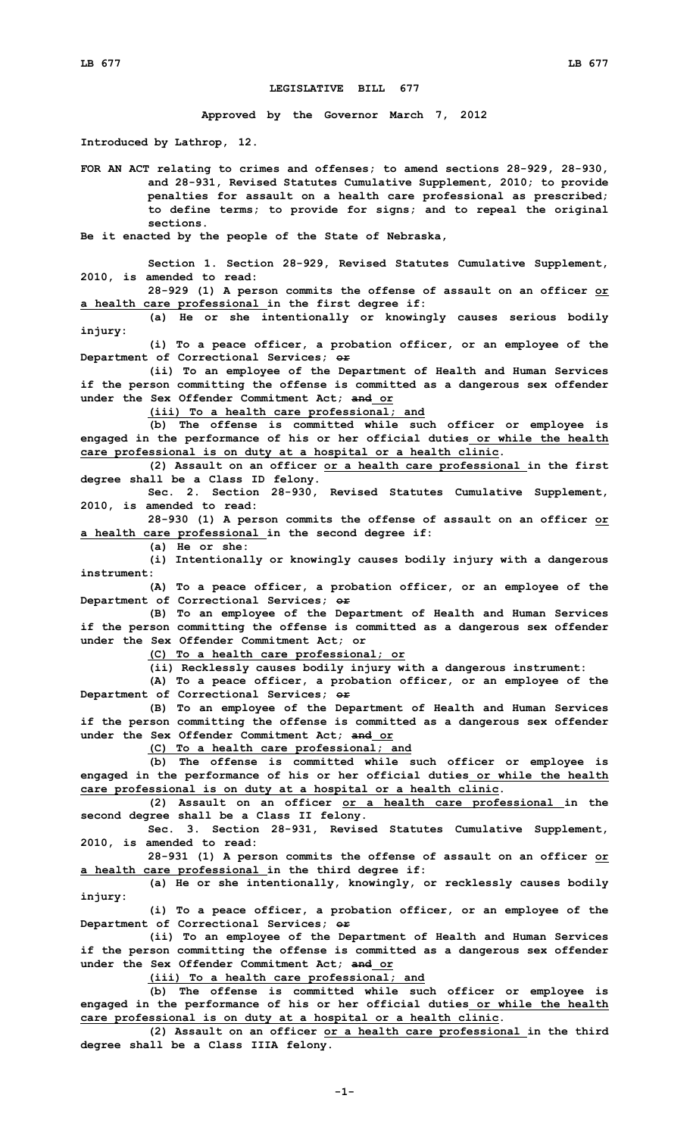## **LEGISLATIVE BILL 677**

**Approved by the Governor March 7, 2012**

**Introduced by Lathrop, 12.**

**FOR AN ACT relating to crimes and offenses; to amend sections 28-929, 28-930, and 28-931, Revised Statutes Cumulative Supplement, 2010; to provide penalties for assault on <sup>a</sup> health care professional as prescribed; to define terms; to provide for signs; and to repeal the original sections.**

**Be it enacted by the people of the State of Nebraska,**

**Section 1. Section 28-929, Revised Statutes Cumulative Supplement, 2010, is amended to read:**

**28-929 (1) <sup>A</sup> person commits the offense of assault on an officer or <sup>a</sup> health care professional in the first degree if:**

**(a) He or she intentionally or knowingly causes serious bodily injury:**

**(i) To <sup>a</sup> peace officer, <sup>a</sup> probation officer, or an employee of the Department of Correctional Services; or**

**(ii) To an employee of the Department of Health and Human Services if the person committing the offense is committed as <sup>a</sup> dangerous sex offender under the Sex Offender Commitment Act; and or**

**(iii) To <sup>a</sup> health care professional; and**

**(b) The offense is committed while such officer or employee is engaged in the performance of his or her official duties or while the health care professional is on duty at <sup>a</sup> hospital or <sup>a</sup> health clinic.**

**(2) Assault on an officer or <sup>a</sup> health care professional in the first degree shall be <sup>a</sup> Class ID felony.**

**Sec. 2. Section 28-930, Revised Statutes Cumulative Supplement, 2010, is amended to read:**

**28-930 (1) <sup>A</sup> person commits the offense of assault on an officer or <sup>a</sup> health care professional in the second degree if:**

**(a) He or she:**

**(i) Intentionally or knowingly causes bodily injury with <sup>a</sup> dangerous instrument:**

**(A) To <sup>a</sup> peace officer, <sup>a</sup> probation officer, or an employee of the Department of Correctional Services; or**

**(B) To an employee of the Department of Health and Human Services if the person committing the offense is committed as <sup>a</sup> dangerous sex offender under the Sex Offender Commitment Act; or**

**(C) To <sup>a</sup> health care professional; or**

**(ii) Recklessly causes bodily injury with <sup>a</sup> dangerous instrument:**

**(A) To <sup>a</sup> peace officer, <sup>a</sup> probation officer, or an employee of the Department of Correctional Services; or**

**(B) To an employee of the Department of Health and Human Services if the person committing the offense is committed as <sup>a</sup> dangerous sex offender under the Sex Offender Commitment Act; and or**

**(C) To <sup>a</sup> health care professional; and**

**(b) The offense is committed while such officer or employee is engaged in the performance of his or her official duties or while the health care professional is on duty at <sup>a</sup> hospital or <sup>a</sup> health clinic.**

**(2) Assault on an officer or <sup>a</sup> health care professional in the second degree shall be <sup>a</sup> Class II felony.**

**Sec. 3. Section 28-931, Revised Statutes Cumulative Supplement, 2010, is amended to read:**

**28-931 (1) <sup>A</sup> person commits the offense of assault on an officer or <sup>a</sup> health care professional in the third degree if:**

**(a) He or she intentionally, knowingly, or recklessly causes bodily injury:**

**(i) To <sup>a</sup> peace officer, <sup>a</sup> probation officer, or an employee of the Department of Correctional Services; or**

**(ii) To an employee of the Department of Health and Human Services if the person committing the offense is committed as <sup>a</sup> dangerous sex offender under the Sex Offender Commitment Act; and or**

**(iii) To <sup>a</sup> health care professional; and**

**(b) The offense is committed while such officer or employee is engaged in the performance of his or her official duties or while the health care professional is on duty at <sup>a</sup> hospital or <sup>a</sup> health clinic.**

**(2) Assault on an officer or <sup>a</sup> health care professional in the third degree shall be <sup>a</sup> Class IIIA felony.**